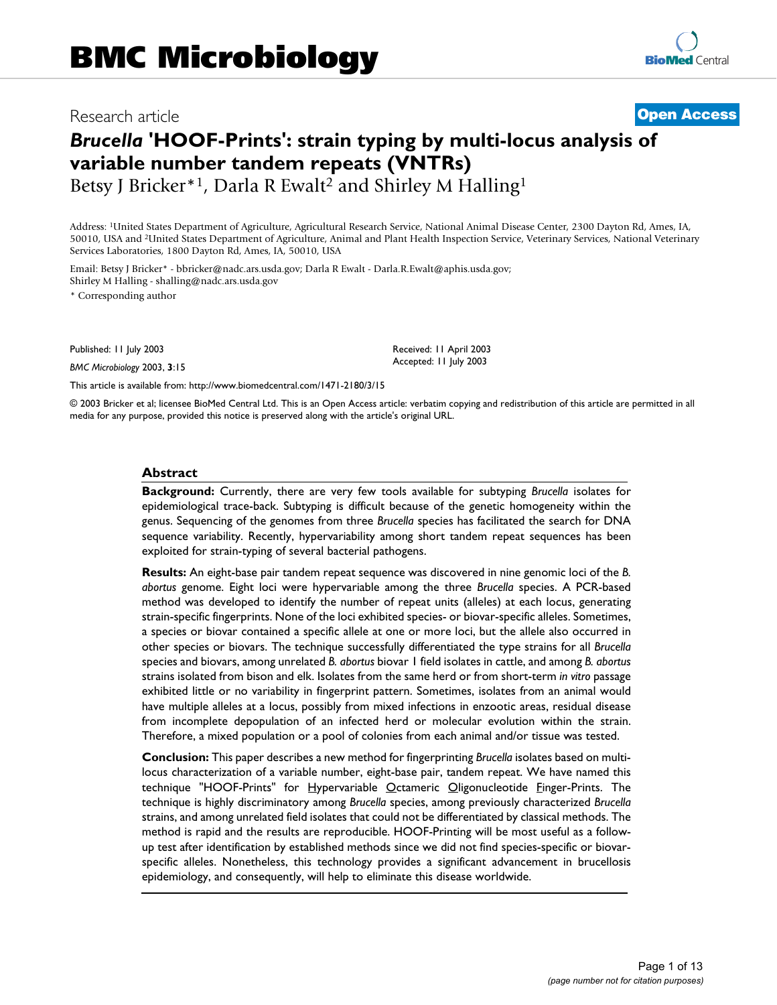# Research article **[Open Access](http://www.biomedcentral.com/info/about/charter/)**

# *Brucella* **'HOOF-Prints': strain typing by multi-locus analysis of variable number tandem repeats (VNTRs)** Betsy J Bricker<sup>\*1</sup>, Darla R Ewalt<sup>2</sup> and Shirley M Halling<sup>1</sup>

Address: 1United States Department of Agriculture, Agricultural Research Service, National Animal Disease Center, 2300 Dayton Rd, Ames, IA, 50010, USA and 2United States Department of Agriculture, Animal and Plant Health Inspection Service, Veterinary Services, National Veterinary Services Laboratories, 1800 Dayton Rd, Ames, IA, 50010, USA

Email: Betsy J Bricker\* - bbricker@nadc.ars.usda.gov; Darla R Ewalt - Darla.R.Ewalt@aphis.usda.gov; Shirley M Halling - shalling@nadc.ars.usda.gov

\* Corresponding author

Published: 11 July 2003

*BMC Microbiology* 2003, **3**:15

[This article is available from: http://www.biomedcentral.com/1471-2180/3/15](http://www.biomedcentral.com/1471-2180/3/15)

© 2003 Bricker et al; licensee BioMed Central Ltd. This is an Open Access article: verbatim copying and redistribution of this article are permitted in all media for any purpose, provided this notice is preserved along with the article's original URL.

Received: 11 April 2003 Accepted: 11 July 2003

#### **Abstract**

**Background:** Currently, there are very few tools available for subtyping *Brucella* isolates for epidemiological trace-back. Subtyping is difficult because of the genetic homogeneity within the genus. Sequencing of the genomes from three *Brucella* species has facilitated the search for DNA sequence variability. Recently, hypervariability among short tandem repeat sequences has been exploited for strain-typing of several bacterial pathogens.

**Results:** An eight-base pair tandem repeat sequence was discovered in nine genomic loci of the *B. abortus* genome. Eight loci were hypervariable among the three *Brucella* species. A PCR-based method was developed to identify the number of repeat units (alleles) at each locus, generating strain-specific fingerprints. None of the loci exhibited species- or biovar-specific alleles. Sometimes, a species or biovar contained a specific allele at one or more loci, but the allele also occurred in other species or biovars. The technique successfully differentiated the type strains for all *Brucella* species and biovars, among unrelated *B. abortus* biovar 1 field isolates in cattle, and among *B. abortus* strains isolated from bison and elk. Isolates from the same herd or from short-term *in vitro* passage exhibited little or no variability in fingerprint pattern. Sometimes, isolates from an animal would have multiple alleles at a locus, possibly from mixed infections in enzootic areas, residual disease from incomplete depopulation of an infected herd or molecular evolution within the strain. Therefore, a mixed population or a pool of colonies from each animal and/or tissue was tested.

**Conclusion:** This paper describes a new method for fingerprinting *Brucella* isolates based on multilocus characterization of a variable number, eight-base pair, tandem repeat. We have named this technique "HOOF-Prints" for Hypervariable Octameric Oligonucleotide Einger-Prints. The technique is highly discriminatory among *Brucella* species, among previously characterized *Brucella* strains, and among unrelated field isolates that could not be differentiated by classical methods. The method is rapid and the results are reproducible. HOOF-Printing will be most useful as a followup test after identification by established methods since we did not find species-specific or biovarspecific alleles. Nonetheless, this technology provides a significant advancement in brucellosis epidemiology, and consequently, will help to eliminate this disease worldwide.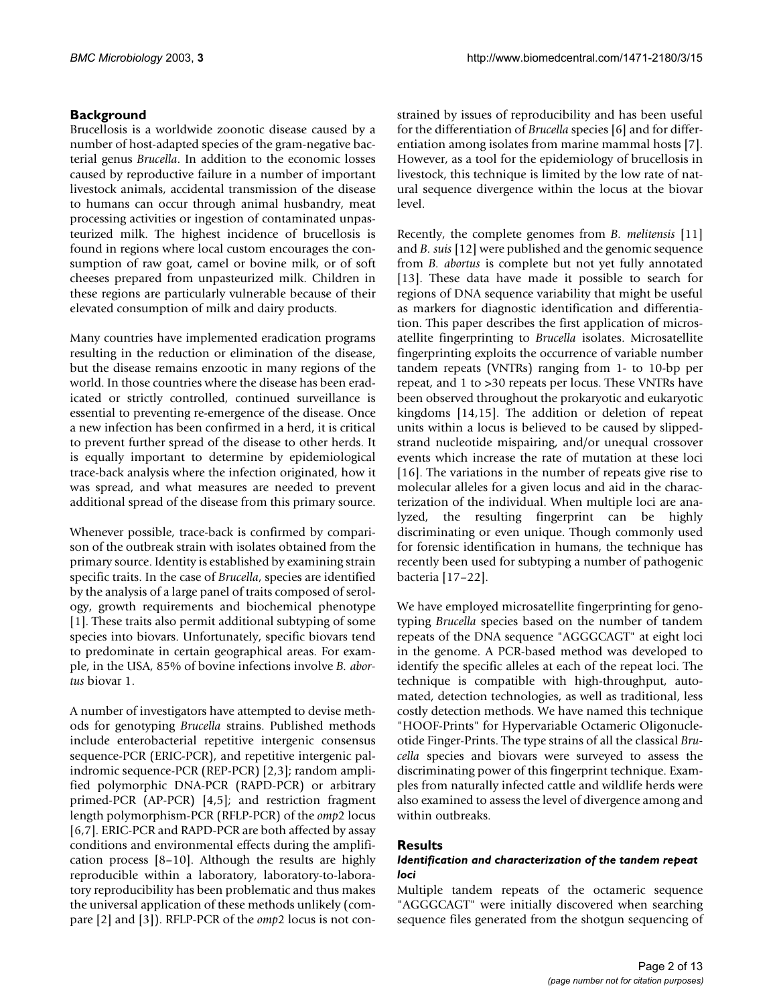# **Background**

Brucellosis is a worldwide zoonotic disease caused by a number of host-adapted species of the gram-negative bacterial genus *Brucella*. In addition to the economic losses caused by reproductive failure in a number of important livestock animals, accidental transmission of the disease to humans can occur through animal husbandry, meat processing activities or ingestion of contaminated unpasteurized milk. The highest incidence of brucellosis is found in regions where local custom encourages the consumption of raw goat, camel or bovine milk, or of soft cheeses prepared from unpasteurized milk. Children in these regions are particularly vulnerable because of their elevated consumption of milk and dairy products.

Many countries have implemented eradication programs resulting in the reduction or elimination of the disease, but the disease remains enzootic in many regions of the world. In those countries where the disease has been eradicated or strictly controlled, continued surveillance is essential to preventing re-emergence of the disease. Once a new infection has been confirmed in a herd, it is critical to prevent further spread of the disease to other herds. It is equally important to determine by epidemiological trace-back analysis where the infection originated, how it was spread, and what measures are needed to prevent additional spread of the disease from this primary source.

Whenever possible, trace-back is confirmed by comparison of the outbreak strain with isolates obtained from the primary source. Identity is established by examining strain specific traits. In the case of *Brucella*, species are identified by the analysis of a large panel of traits composed of serology, growth requirements and biochemical phenotype [1]. These traits also permit additional subtyping of some species into biovars. Unfortunately, specific biovars tend to predominate in certain geographical areas. For example, in the USA, 85% of bovine infections involve *B. abortus* biovar 1.

A number of investigators have attempted to devise methods for genotyping *Brucella* strains. Published methods include enterobacterial repetitive intergenic consensus sequence-PCR (ERIC-PCR), and repetitive intergenic palindromic sequence-PCR (REP-PCR) [[2](#page-12-0)[,3\]](#page-12-1); random amplified polymorphic DNA-PCR (RAPD-PCR) or arbitrary primed-PCR (AP-PCR) [\[4](#page-12-2),[5](#page-12-3)]; and restriction fragment length polymorphism-PCR (RFLP-PCR) of the *omp*2 locus [6[,7\]](#page-12-4). ERIC-PCR and RAPD-PCR are both affected by assay conditions and environmental effects during the amplification process [8–10]. Although the results are highly reproducible within a laboratory, laboratory-to-laboratory reproducibility has been problematic and thus makes the universal application of these methods unlikely (compare [\[2\]](#page-12-0) and [[3](#page-12-1)]). RFLP-PCR of the *omp*2 locus is not constrained by issues of reproducibility and has been useful for the differentiation of *Brucella* species [6] and for differentiation among isolates from marine mammal hosts [[7](#page-12-4)]. However, as a tool for the epidemiology of brucellosis in livestock, this technique is limited by the low rate of natural sequence divergence within the locus at the biovar level.

Recently, the complete genomes from *B. melitensis* [11] and *B. suis* [[12\]](#page-12-5) were published and the genomic sequence from *B. abortus* is complete but not yet fully annotated [13]. These data have made it possible to search for regions of DNA sequence variability that might be useful as markers for diagnostic identification and differentiation. This paper describes the first application of microsatellite fingerprinting to *Brucella* isolates. Microsatellite fingerprinting exploits the occurrence of variable number tandem repeats (VNTRs) ranging from 1- to 10-bp per repeat, and 1 to >30 repeats per locus. These VNTRs have been observed throughout the prokaryotic and eukaryotic kingdoms [14,15]. The addition or deletion of repeat units within a locus is believed to be caused by slippedstrand nucleotide mispairing, and/or unequal crossover events which increase the rate of mutation at these loci [16]. The variations in the number of repeats give rise to molecular alleles for a given locus and aid in the characterization of the individual. When multiple loci are analyzed, the resulting fingerprint can be highly discriminating or even unique. Though commonly used for forensic identification in humans, the technique has recently been used for subtyping a number of pathogenic bacteria [17[–22](#page-12-6)].

We have employed microsatellite fingerprinting for genotyping *Brucella* species based on the number of tandem repeats of the DNA sequence "AGGGCAGT" at eight loci in the genome. A PCR-based method was developed to identify the specific alleles at each of the repeat loci. The technique is compatible with high-throughput, automated, detection technologies, as well as traditional, less costly detection methods. We have named this technique "HOOF-Prints" for Hypervariable Octameric Oligonucleotide Finger-Prints. The type strains of all the classical *Brucella* species and biovars were surveyed to assess the discriminating power of this fingerprint technique. Examples from naturally infected cattle and wildlife herds were also examined to assess the level of divergence among and within outbreaks.

# **Results**

## *Identification and characterization of the tandem repeat loci*

Multiple tandem repeats of the octameric sequence "AGGGCAGT" were initially discovered when searching sequence files generated from the shotgun sequencing of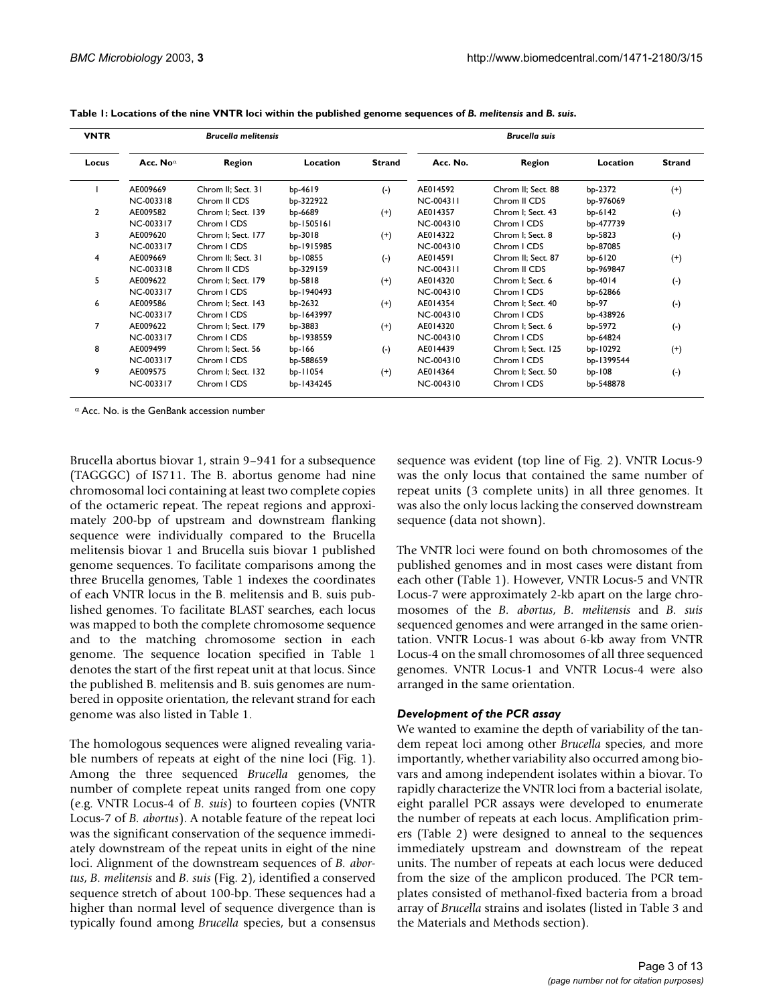| <b>VNTR</b>    | <b>Brucella melitensis</b> |                    |            |               | <b>Brucella suis</b> |                    |            |               |
|----------------|----------------------------|--------------------|------------|---------------|----------------------|--------------------|------------|---------------|
| Locus          | Acc. No <sup>a</sup>       | Region             | Location   | <b>Strand</b> | Acc. No.             | Region             | Location   | <b>Strand</b> |
|                | AE009669                   | Chrom II; Sect. 31 | bp-4619    | $(-)$         | AE014592             | Chrom II: Sect. 88 | bp-2372    | $(+)$         |
|                | NC-003318                  | Chrom II CDS       | bp-322922  |               | NC-004311            | Chrom II CDS       | bp-976069  |               |
| $\overline{2}$ | AE009582                   | Chrom I: Sect. 139 | bp-6689    | $(+)$         | AE014357             | Chrom I: Sect. 43  | bp-6142    | $(\cdot)$     |
|                | NC-003317                  | Chrom I CDS        | bp-1505161 |               | NC-004310            | Chrom I CDS        | bp-477739  |               |
| 3              | AE009620                   | Chrom I: Sect. 177 | bp-3018    | $^{(+)}$      | AE014322             | Chrom I: Sect. 8   | bp-5823    | $(-)$         |
|                | NC-003317                  | Chrom I CDS        | bp-1915985 |               | NC-004310            | Chrom I CDS        | bp-87085   |               |
| 4              | AE009669                   | Chrom II: Sect. 31 | bp-10855   | $(-)$         | AE014591             | Chrom II: Sect. 87 | bp-6120    | $^{(+)}$      |
|                | NC-003318                  | Chrom II CDS       | bp-329159  |               | NC-004311            | Chrom II CDS       | bp-969847  |               |
| 5              | AE009622                   | Chrom I: Sect. 179 | bp-5818    | $^{(+)}$      | AE014320             | Chrom I: Sect. 6   | bp-4014    | $(\cdot)$     |
|                | NC-003317                  | Chrom I CDS        | bp-1940493 |               | NC-004310            | Chrom I CDS        | bp-62866   |               |
| 6              | AE009586                   | Chrom I: Sect. 143 | bp-2632    | $(+)$         | AE014354             | Chrom I; Sect. 40  | $bp-97$    | $(\cdot)$     |
|                | NC-003317                  | Chrom I CDS        | bp-1643997 |               | NC-004310            | Chrom I CDS        | bp-438926  |               |
| $\overline{7}$ | AE009622                   | Chrom I: Sect. 179 | bp-3883    | $^{(+)}$      | AE014320             | Chrom I: Sect. 6   | bp-5972    | $(\cdot)$     |
|                | NC-003317                  | Chrom I CDS        | bp-1938559 |               | NC-004310            | Chrom I CDS        | bp-64824   |               |
| 8              | AE009499                   | Chrom I: Sect. 56  | bp-166     | $(\cdot)$     | AE014439             | Chrom I: Sect. 125 | bp-10292   | $^{(+)}$      |
|                | NC-003317                  | Chrom I CDS        | bp-588659  |               | NC-004310            | Chrom I CDS        | bp-1399544 |               |
| 9              | AE009575                   | Chrom I: Sect. 132 | bp-11054   | $^{(+)}$      | AE014364             | Chrom I: Sect. 50  | bp-108     | $(\cdot)$     |
|                | NC-003317                  | Chrom I CDS        | bp-1434245 |               | NC-004310            | Chrom I CDS        | bp-548878  |               |

<span id="page-2-0"></span>**Table 1: Locations of the nine VNTR loci within the published genome sequences of** *B. melitensis* **and** *B. suis***.**

 $\alpha$  Acc. No. is the GenBank accession number

Brucella abortus biovar 1, strain 9–941 for a subsequence (TAGGGC) of IS711. The B. abortus genome had nine chromosomal loci containing at least two complete copies of the octameric repeat. The repeat regions and approximately 200-bp of upstream and downstream flanking sequence were individually compared to the Brucella melitensis biovar 1 and Brucella suis biovar 1 published genome sequences. To facilitate comparisons among the three Brucella genomes, Table [1](#page-2-0) indexes the coordinates of each VNTR locus in the B. melitensis and B. suis published genomes. To facilitate BLAST searches, each locus was mapped to both the complete chromosome sequence and to the matching chromosome section in each genome. The sequence location specified in Table [1](#page-2-0) denotes the start of the first repeat unit at that locus. Since the published B. melitensis and B. suis genomes are numbered in opposite orientation, the relevant strand for each genome was also listed in Table [1](#page-2-0).

The homologous sequences were aligned revealing variable numbers of repeats at eight of the nine loci (Fig. 1). Among the three sequenced *Brucella* genomes, the number of complete repeat units ranged from one copy (e.g. VNTR Locus-4 of *B. suis*) to fourteen copies (VNTR Locus-7 of *B. abortus*). A notable feature of the repeat loci was the significant conservation of the sequence immediately downstream of the repeat units in eight of the nine loci. Alignment of the downstream sequences of *B. abortus*, *B. melitensis* and *B. suis* (Fig. 2), identified a conserved sequence stretch of about 100-bp. These sequences had a higher than normal level of sequence divergence than is typically found among *Brucella* species, but a consensus sequence was evident (top line of Fig. 2). VNTR Locus-9 was the only locus that contained the same number of repeat units (3 complete units) in all three genomes. It was also the only locus lacking the conserved downstream sequence (data not shown).

The VNTR loci were found on both chromosomes of the published genomes and in most cases were distant from each other (Table [1](#page-2-0)). However, VNTR Locus-5 and VNTR Locus-7 were approximately 2-kb apart on the large chromosomes of the *B. abortus*, *B. melitensis* and *B. suis* sequenced genomes and were arranged in the same orientation. VNTR Locus-1 was about 6-kb away from VNTR Locus-4 on the small chromosomes of all three sequenced genomes. VNTR Locus-1 and VNTR Locus-4 were also arranged in the same orientation.

## *Development of the PCR assay*

We wanted to examine the depth of variability of the tandem repeat loci among other *Brucella* species, and more importantly, whether variability also occurred among biovars and among independent isolates within a biovar. To rapidly characterize the VNTR loci from a bacterial isolate, eight parallel PCR assays were developed to enumerate the number of repeats at each locus. Amplification primers (Table [2\)](#page-6-0) were designed to anneal to the sequences immediately upstream and downstream of the repeat units. The number of repeats at each locus were deduced from the size of the amplicon produced. The PCR templates consisted of methanol-fixed bacteria from a broad array of *Brucella* strains and isolates (listed in Table [3](#page-6-1) and the Materials and Methods section).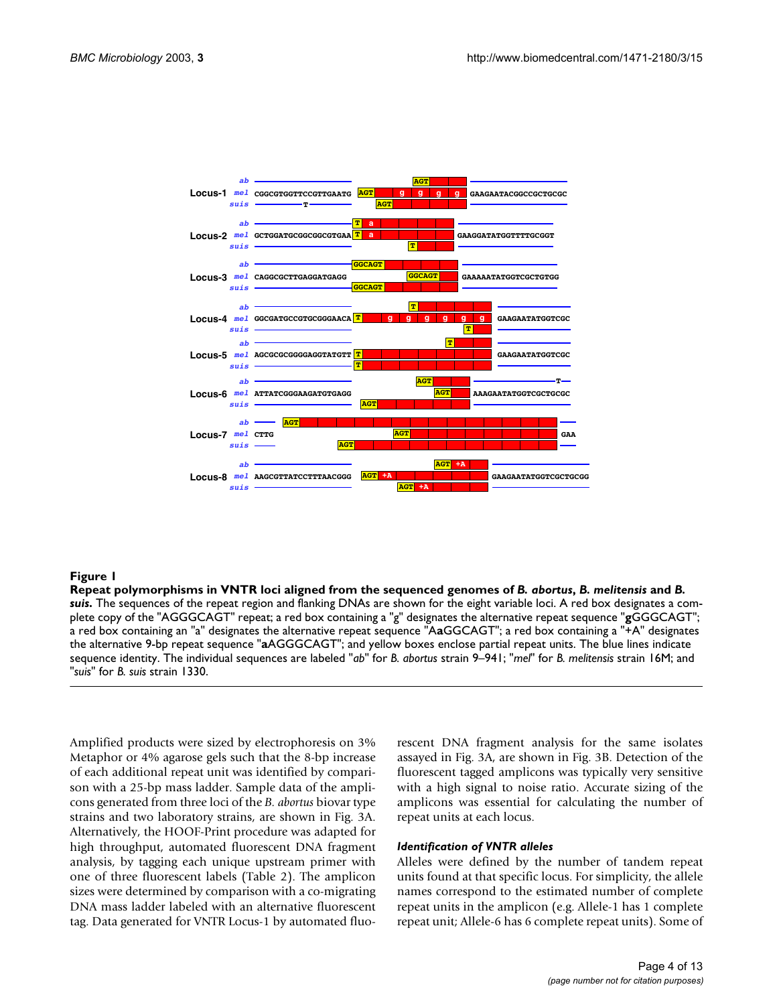

#### **Figure 1** Repeat polymorphisms in VNTR loci aligned from the sequenced genomes of *B. abortus*, *B. melitensis* and *B. suis*

**Repeat polymorphisms in VNTR loci aligned from the sequenced genomes of** *B. abortus***,** *B. melitensis* **and** *B. suis***.** The sequences of the repeat region and flanking DNAs are shown for the eight variable loci. A red box designates a complete copy of the "AGGGCAGT" repeat; a red box containing a "g" designates the alternative repeat sequence "**g**GGGCAGT"; a red box containing an "a" designates the alternative repeat sequence "A**a**GGCAGT"; a red box containing a "+A" designates the alternative 9-bp repeat sequence "**a**AGGGCAGT"; and yellow boxes enclose partial repeat units. The blue lines indicate sequence identity. The individual sequences are labeled "*ab*" for *B. abortus* strain 9–941; "*mel*" for *B. melitensis* strain 16M; and "*suis*" for *B. suis* strain 1330.

Amplified products were sized by electrophoresis on 3% Metaphor or 4% agarose gels such that the 8-bp increase of each additional repeat unit was identified by comparison with a 25-bp mass ladder. Sample data of the amplicons generated from three loci of the *B. abortus* biovar type strains and two laboratory strains, are shown in Fig. [3](#page-5-0)A. Alternatively, the HOOF-Print procedure was adapted for high throughput, automated fluorescent DNA fragment analysis, by tagging each unique upstream primer with one of three fluorescent labels (Table [2](#page-6-0)). The amplicon sizes were determined by comparison with a co-migrating DNA mass ladder labeled with an alternative fluorescent tag. Data generated for VNTR Locus-1 by automated fluorescent DNA fragment analysis for the same isolates assayed in Fig. [3](#page-5-0)A, are shown in Fig. [3](#page-5-0)B. Detection of the fluorescent tagged amplicons was typically very sensitive with a high signal to noise ratio. Accurate sizing of the amplicons was essential for calculating the number of repeat units at each locus.

#### *Identification of VNTR alleles*

Alleles were defined by the number of tandem repeat units found at that specific locus. For simplicity, the allele names correspond to the estimated number of complete repeat units in the amplicon (e.g. Allele-1 has 1 complete repeat unit; Allele-6 has 6 complete repeat units). Some of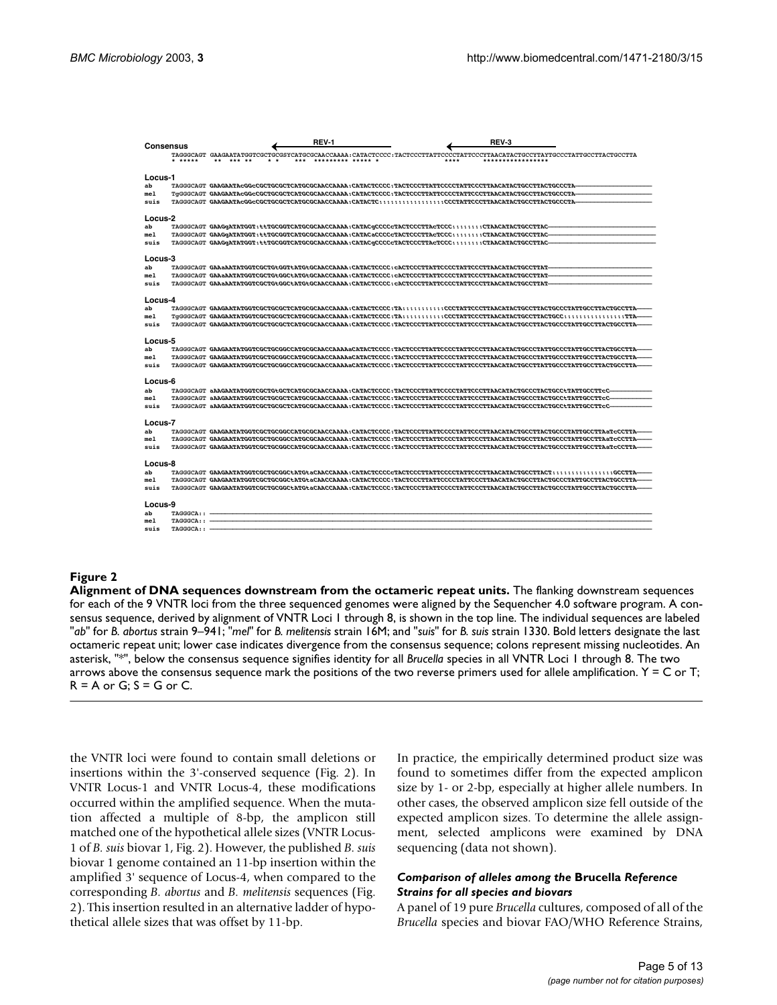| <b>Consensus</b> |                              | <b>REV-1</b>                                                                                                        | REV-3                                                                                                                                                                                                                          |
|------------------|------------------------------|---------------------------------------------------------------------------------------------------------------------|--------------------------------------------------------------------------------------------------------------------------------------------------------------------------------------------------------------------------------|
|                  |                              | $***$ *** **<br>$\star$ $\star$<br>*** ********* ***** *                                                            | TAGGGCAGT GAAGAATATGGTCGCTGCGSYCATGCGCAACCAAAA:CATACTCCCC:TACTCCCTTATTCCCCTTATCCCYTAACATACTGCCYTAYTGCCCTATTGCCTTACTGCCTTA<br>****<br>*****************                                                                         |
| Locus-1          |                              |                                                                                                                     |                                                                                                                                                                                                                                |
| ab               |                              | TAGGGCAGT GAAGAATAcGGcCGCTGCGCTCATGCGCAACCAAAA;CATACTCCCC;TACTCCCTTATTCCCCTRTTCCCTTAACATACTGCCTTACTGCCCTA-          |                                                                                                                                                                                                                                |
| $m$ el           |                              | TGGGGCAGT GAAGAATAcGGcCGCTGCGCTCATGCGCAACCAAAA;CATACTCCCC;TACTCCCTTATTCCCCTATTCCCTTAACATACTGCCTTACTGCCCTA-          |                                                                                                                                                                                                                                |
| suis             |                              |                                                                                                                     |                                                                                                                                                                                                                                |
| Locus-2          |                              |                                                                                                                     |                                                                                                                                                                                                                                |
| ab               |                              | TAGGGCAGT GAAGGATATGGT:ttTGCGGTCATGCGCAACCAAAA:CATACqCCCCCTACTCCCTTACTCCC:::::::::CTAACATACTGCCTTAC-                |                                                                                                                                                                                                                                |
| $m$ el           |                              | TAGGGCAGT GAAGGATATGGT:ttTGCGGTCATGCGCAACCAAAA:CATAC&CCCCCTACTCCCTTAcTCCC:::::::::CTAACATACTGCCTTAC-                |                                                                                                                                                                                                                                |
| suis             |                              | TAGGGCAGT GAAGqATATGGT:ttTGCGGTCATGCGCAACCAAAA:CATACqCCCCCTACTCCCTTACTCCC::::::::CTAACATACTGCCTTAC-                 |                                                                                                                                                                                                                                |
| Locus-3          |                              |                                                                                                                     |                                                                                                                                                                                                                                |
| ab               |                              | TAGGGCAGT GAAAARTATGGTCGCTGtGGTtATGtGCAACCAAAA:CATACTCCCC:cACTCCCTTATTCCCCTATTCCCTTAACATACTGCCTTAT                  |                                                                                                                                                                                                                                |
| me1              |                              | TAGGGCAGT GAAAAATATGGTCGCTGtGGCtATGtGCAACCAAAA:CATACTCCCC:cACTCCCTTATTCCCCTATTCCCTTAACATACTGCCTTAT-                 |                                                                                                                                                                                                                                |
| suis             |                              | TAGGGCAGT GAAAARTATGGTCGCTGtGGCtATGtGCAACCAAAA:CATACTCCCC:cACTCCCTTATTCCCCTRTTCCCTTAACATACTGCCTTAT                  |                                                                                                                                                                                                                                |
| Locus-4          |                              |                                                                                                                     |                                                                                                                                                                                                                                |
| ab               |                              |                                                                                                                     |                                                                                                                                                                                                                                |
| $m$ el           |                              |                                                                                                                     |                                                                                                                                                                                                                                |
| suis             |                              |                                                                                                                     | TAGGGCAGT GAAGAATATGCTCGCTCGCTCATGCGCAACCAAAA:CATACTCCCC:TACTCCCTTATTCCCCTTATCCCTTAACATACTGCCTTACTGCCCTATTGCCTTACTGCCTTACTGCCTTACTGCCTTACTGCCTTACTGCCTTACTGCCTTACTGCCTTACTGCCTTACTGCCTTACTGCCTTACTGCCTTACTGCCTTACTGCCTTACTGCCT |
| Locus-5          |                              |                                                                                                                     |                                                                                                                                                                                                                                |
| ab               |                              |                                                                                                                     | TAGGGCAGT GAAGAATATGGTCGCTGCGGCCATGCGCAACCAAAAaCATACTCCCC : TACTCCCTTATTCCCCTATTCCCTTAACATACTGCCCTATTGCCCTATTGCCTTACTGCCTTA                                                                                                    |
| mel              |                              |                                                                                                                     | TAGGGCAGT GAAGAATATGGTCGCTGCGGCCATGCGCAACCAAAAaCATACTCCCC : TACTCCCTTATTCCCCTATTCCCTTAACATACTGCCCTATTGCCCTATTGCCTTACTGCCTTA                                                                                                    |
| suis             |                              |                                                                                                                     | TAGGGCAGT GAAGAATATGGTCGCTGCGGCCATGCGCAACCAAAAaCATACTCCCC:TACTCCCTTATTCCCCTTAACATACTGCCTTATTGCCCTATTGCCTTACTGCCTTA                                                                                                             |
| Locus-6          |                              |                                                                                                                     |                                                                                                                                                                                                                                |
| ab               |                              | TAGGGCAGT aAAGAATATGGTCGCTGtGCTCATGCGCAACCAAAA;CATACTCCCC;TACTCCCTTATTCCCCTATTCCCTTAACATACTGCCCTACTGCCtTATTGCCTTcC- |                                                                                                                                                                                                                                |
| $m$ el           |                              | TAGGGCAGT aAAGAATATGGTCGCTGCGCTCATGCGCAACCAAAA;CATACTCCCC;TACTCCCTTATTCCCCTATTCCCTTAACATACTGCCCTACTGCCtTATTGCCTTcC- |                                                                                                                                                                                                                                |
| suis             |                              | TAGGGCAGT aAAGAATATGGTCGCTGCGCTCATGCGCAACCAAAA:CATACTCCCC:TACTCCCTTATTCCCCTATTCCCTTAACATACTGCCCTACTGCCtTATTGCCTTCC- |                                                                                                                                                                                                                                |
| Locus-7          |                              |                                                                                                                     |                                                                                                                                                                                                                                |
| ab               |                              |                                                                                                                     | TAGGGCAGT GAAGAATATGGTCGCTGCGGCCATGCGCAACCAAAA:CATACTCCCC:TACTCCCTTATTCCCCTTATCCCTTAACATACTGCCTTACTGCCCTATTGCCTTAATcCCTTA                                                                                                      |
| me1              |                              |                                                                                                                     | TAGGGCAGT GAAGAATATGGTCGCTGCGGCCATGCGCAACCAAAA:CATACTCCCC:TACTCCCTTATTCCCCTTATCCCTTAACATACTGCCTTACTGCCCTATTGCCTTAATcCCTTA                                                                                                      |
| suis             |                              |                                                                                                                     | TAGGGCAGT GAAGAATATGGTCGCTGCGGCCATGCGCAACCAAAA:CATACTCCCC:TACTCCCTTATTCCCCTTATCCCTTAACATACTGCCTTACTGCCCTATTGCCTTAATcCCTTA                                                                                                      |
| Locus-8          |                              |                                                                                                                     |                                                                                                                                                                                                                                |
| ab               |                              |                                                                                                                     |                                                                                                                                                                                                                                |
| $m$ el           |                              |                                                                                                                     | TAGGGCAGT GAAGAATATGGTCGCTGCGGCtATGtaCAACCAAAA:CATACTCCCC:TACTCCCTTATTCCCCTATTCCCTTAACATACTGCCTTACTGCCCTATTGCCTTACTGCCTTACTGCCTTA                                                                                              |
| suis             |                              |                                                                                                                     | TAGGGCAGT GAAGAATATGGTCGCTGCGGCtATGtaCAACCAAAA:CATACTCCCC:TACTCCCTTATTCCCCTATTCCCTTAACATACTGCCTTACTGCCCTATTGCCTTACTGCCTTACTGCCTTA                                                                                              |
| Locus-9          |                              |                                                                                                                     |                                                                                                                                                                                                                                |
| ab               | TAGGGCA: : -                 |                                                                                                                     |                                                                                                                                                                                                                                |
| mel              | $TAGGGCA: -$                 |                                                                                                                     |                                                                                                                                                                                                                                |
| suis             | $TAGGGCA:$ $\longrightarrow$ |                                                                                                                     |                                                                                                                                                                                                                                |
|                  |                              |                                                                                                                     |                                                                                                                                                                                                                                |

#### Figure 2

**Alignment of DNA sequences downstream from the octameric repeat units.** The flanking downstream sequences for each of the 9 VNTR loci from the three sequenced genomes were aligned by the Sequencher 4.0 software program. A consensus sequence, derived by alignment of VNTR Loci 1 through 8, is shown in the top line. The individual sequences are labeled "*ab*" for *B. abortus* strain 9–941; "*mel*" for *B. melitensis* strain 16M; and "*suis*" for *B. suis* strain 1330. Bold letters designate the last octameric repeat unit; lower case indicates divergence from the consensus sequence; colons represent missing nucleotides. An asterisk, "\*", below the consensus sequence signifies identity for all *Brucella* species in all VNTR Loci 1 through 8. The two arrows above the consensus sequence mark the positions of the two reverse primers used for allele amplification.  $Y = C$  or T;  $R = A$  or  $G$ ;  $S = G$  or  $C$ .

the VNTR loci were found to contain small deletions or insertions within the 3'-conserved sequence (Fig. 2). In VNTR Locus-1 and VNTR Locus-4, these modifications occurred within the amplified sequence. When the mutation affected a multiple of 8-bp, the amplicon still matched one of the hypothetical allele sizes (VNTR Locus-1 of *B. suis* biovar 1, Fig. 2). However, the published *B. suis* biovar 1 genome contained an 11-bp insertion within the amplified 3' sequence of Locus-4, when compared to the corresponding *B. abortus* and *B. melitensis* sequences (Fig. 2). This insertion resulted in an alternative ladder of hypothetical allele sizes that was offset by 11-bp.

In practice, the empirically determined product size was found to sometimes differ from the expected amplicon size by 1- or 2-bp, especially at higher allele numbers. In other cases, the observed amplicon size fell outside of the expected amplicon sizes. To determine the allele assignment, selected amplicons were examined by DNA sequencing (data not shown).

#### *Comparison of alleles among the* **Brucella** *Reference Strains for all species and biovars*

A panel of 19 pure *Brucella* cultures, composed of all of the *Brucella* species and biovar FAO/WHO Reference Strains,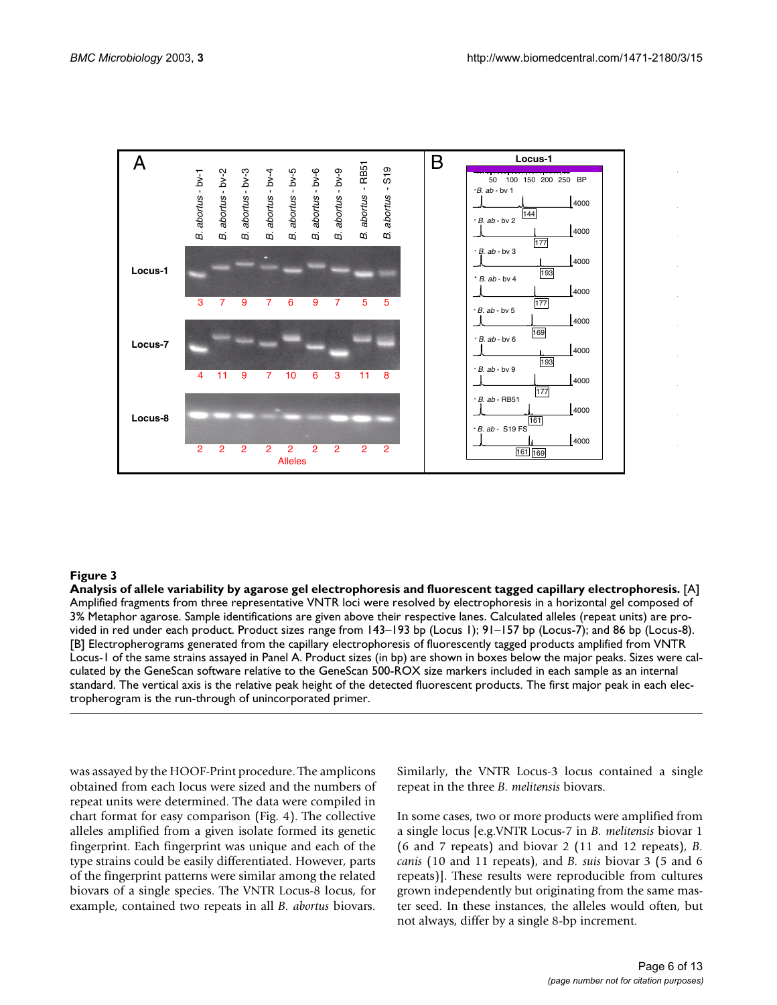<span id="page-5-0"></span>

#### Analysis of allele variability by agarose gel electropho **Figure 3** resis and fluorescent tagged capillary electrophoresis

**Analysis of allele variability by agarose gel electrophoresis and fluorescent tagged capillary electrophoresis.** [A] Amplified fragments from three representative VNTR loci were resolved by electrophoresis in a horizontal gel composed of 3% Metaphor agarose. Sample identifications are given above their respective lanes. Calculated alleles (repeat units) are provided in red under each product. Product sizes range from 143–193 bp (Locus 1); 91–157 bp (Locus-7); and 86 bp (Locus-8). [B] Electropherograms generated from the capillary electrophoresis of fluorescently tagged products amplified from VNTR Locus-1 of the same strains assayed in Panel A. Product sizes (in bp) are shown in boxes below the major peaks. Sizes were calculated by the GeneScan software relative to the GeneScan 500-ROX size markers included in each sample as an internal standard. The vertical axis is the relative peak height of the detected fluorescent products. The first major peak in each electropherogram is the run-through of unincorporated primer.

was assayed by the HOOF-Print procedure. The amplicons obtained from each locus were sized and the numbers of repeat units were determined. The data were compiled in chart format for easy comparison (Fig. [4](#page-7-0)). The collective alleles amplified from a given isolate formed its genetic fingerprint. Each fingerprint was unique and each of the type strains could be easily differentiated. However, parts of the fingerprint patterns were similar among the related biovars of a single species. The VNTR Locus-8 locus, for example, contained two repeats in all *B. abortus* biovars. Similarly, the VNTR Locus-3 locus contained a single repeat in the three *B. melitensis* biovars.

In some cases, two or more products were amplified from a single locus [e.g.VNTR Locus-7 in *B. melitensis* biovar 1 (6 and 7 repeats) and biovar 2 (11 and 12 repeats), *B. canis* (10 and 11 repeats), and *B. suis* biovar 3 (5 and 6 repeats)]. These results were reproducible from cultures grown independently but originating from the same master seed. In these instances, the alleles would often, but not always, differ by a single 8-bp increment.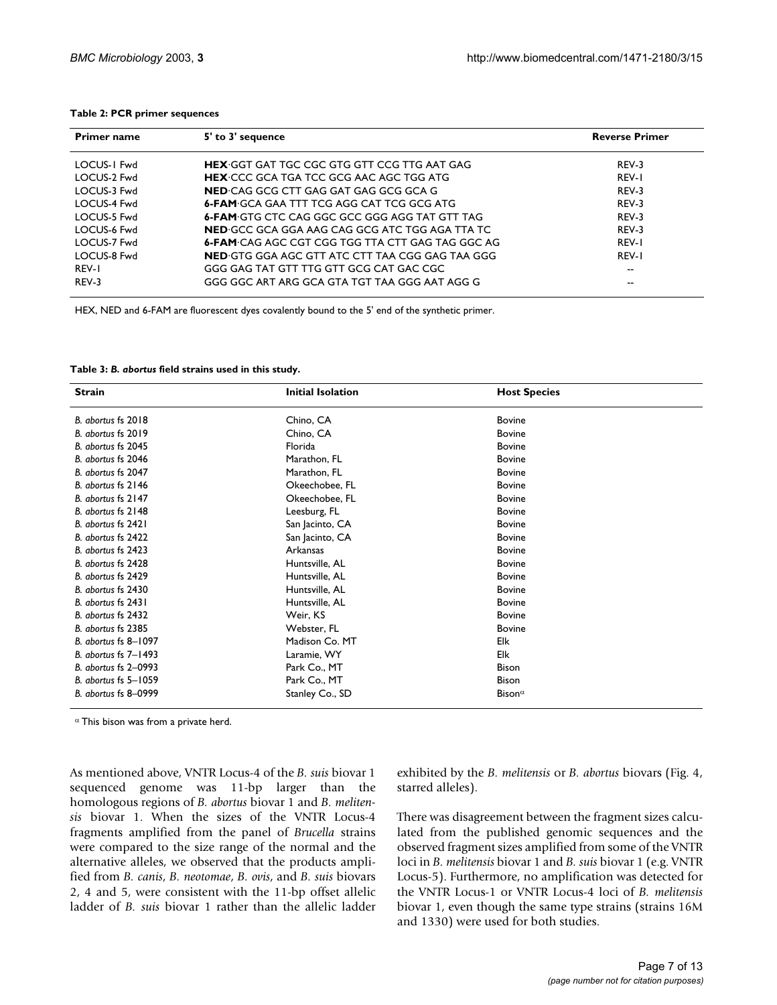#### <span id="page-6-0"></span>**Table 2: PCR primer sequences**

| <b>Primer name</b> | 5' to 3' sequence                                        | <b>Reverse Primer</b> |  |
|--------------------|----------------------------------------------------------|-----------------------|--|
| LOCUS-I Fwd        | <b>HEX</b> GGT GAT TGC CGC GTG GTT CCG TTG AAT GAG       | REV-3                 |  |
| LOCUS-2 Fwd        | <b>HEX</b> CCC GCA TGA TCC GCG AAC AGC TGG ATG           | REV-1                 |  |
| LOCUS-3 Fwd        | <b>NED</b> CAG GCG CTT GAG GAT GAG GCG GCA G             | REV-3                 |  |
| <b>LOCUS-4 Fwd</b> | <b>6-FAM GCA GAA TTT TCG AGG CAT TCG GCG ATG</b>         | REV-3                 |  |
| LOCUS-5 Fwd        | <b>6-FAM</b> GTG CTC CAG GGC GCC GGG AGG TAT GTT TAG     | REV-3                 |  |
| <b>LOCUS-6 Ewd</b> | <b>NED</b> GCC GCA GGA AAG CAG GCG ATC TGG AGA TTA TC    | REV-3                 |  |
| LOCUS-7 Fwd        | <b>6-FAM:</b> CAG AGC CGT CGG TGG TTA CTT GAG TAG GGC AG | REV-I                 |  |
| LOCUS-8 Fwd        | <b>NED GTG GGA AGC GTT ATC CTT TAA CGG GAG TAA GGG</b>   | REV-I                 |  |
| REV-1              | GGG GAG TAT GTT TTG GTT GCG CAT GAC CGC                  |                       |  |
| REV-3              | GGG GGC ART ARG GCA GTA TGT TAA GGG AAT AGG G            | --                    |  |

HEX, NED and 6-FAM are fluorescent dyes covalently bound to the 5' end of the synthetic primer.

<span id="page-6-1"></span>**Table 3:** *B. abortus* **field strains used in this study.**

| <b>Strain</b>            | <b>Initial Isolation</b> | <b>Host Species</b> |
|--------------------------|--------------------------|---------------------|
| B. abortus fs 2018       | Chino, CA                | <b>Bovine</b>       |
| B. abortus fs 2019       | Chino, CA                | <b>Bovine</b>       |
| B. abortus fs 2045       | Florida                  | <b>Bovine</b>       |
| B. abortus fs 2046       | Marathon, FL             | <b>Bovine</b>       |
| B. abortus fs 2047       | Marathon, FL             | <b>Bovine</b>       |
| B. abortus fs 2146       | Okeechobee, FL           | <b>Bovine</b>       |
| B. abortus fs 2147       | Okeechobee, FL           | <b>Bovine</b>       |
| B. abortus fs 2148       | Leesburg, FL             | <b>Bovine</b>       |
| B. abortus fs 2421       | San Jacinto, CA          | Bovine              |
| B. abortus fs 2422       | San Jacinto, CA          | <b>Bovine</b>       |
| B. abortus fs 2423       | Arkansas                 | <b>Bovine</b>       |
| B. abortus fs 2428       | Huntsville, AL           | Bovine              |
| B. abortus fs 2429       | Huntsville, AL           | <b>Bovine</b>       |
| B. abortus fs 2430       | Huntsville, AL           | <b>Bovine</b>       |
| B. abortus fs 2431       | Huntsville, AL           | <b>Bovine</b>       |
| B. abortus fs 2432       | Weir, KS                 | <b>Bovine</b>       |
| B. abortus fs 2385       | Webster, FL              | <b>Bovine</b>       |
| $B.$ abortus fs $8-1097$ | Madison Co. MT           | Elk                 |
| B. abortus fs $7 - 1493$ | Laramie, WY              | Elk                 |
| B. abortus fs 2-0993     | Park Co., MT             | <b>Bison</b>        |
| B. abortus fs 5-1059     | Park Co., MT             | <b>Bison</b>        |
| B. abortus fs 8-0999     | Stanley Co., SD          | Bison $\alpha$      |

 $\alpha$  This bison was from a private herd.

As mentioned above, VNTR Locus-4 of the *B. suis* biovar 1 sequenced genome was 11-bp larger than the homologous regions of *B. abortus* biovar 1 and *B. melitensis* biovar 1. When the sizes of the VNTR Locus-4 fragments amplified from the panel of *Brucella* strains were compared to the size range of the normal and the alternative alleles, we observed that the products amplified from *B. canis*, *B. neotomae*, *B. ovis*, and *B. suis* biovars 2, 4 and 5, were consistent with the 11-bp offset allelic ladder of *B. suis* biovar 1 rather than the allelic ladder exhibited by the *B. melitensis* or *B. abortus* biovars (Fig. [4,](#page-7-0) starred alleles).

There was disagreement between the fragment sizes calculated from the published genomic sequences and the observed fragment sizes amplified from some of the VNTR loci in *B. melitensis* biovar 1 and *B. suis* biovar 1 (e.g. VNTR Locus-5). Furthermore, no amplification was detected for the VNTR Locus-1 or VNTR Locus-4 loci of *B. melitensis* biovar 1, even though the same type strains (strains 16M and 1330) were used for both studies.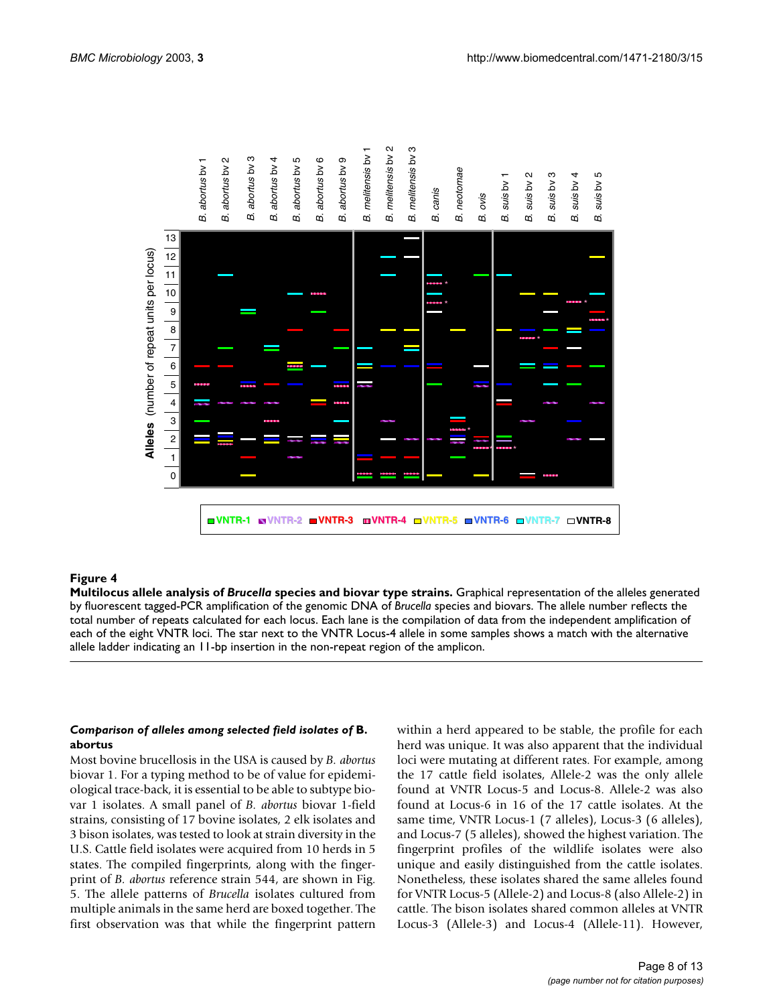<span id="page-7-0"></span>

#### Figure 4

**Multilocus allele analysis of** *Brucella* **species and biovar type strains.** Graphical representation of the alleles generated by fluorescent tagged-PCR amplification of the genomic DNA of *Brucella* species and biovars. The allele number reflects the total number of repeats calculated for each locus. Each lane is the compilation of data from the independent amplification of each of the eight VNTR loci. The star next to the VNTR Locus-4 allele in some samples shows a match with the alternative allele ladder indicating an 11-bp insertion in the non-repeat region of the amplicon.

#### *Comparison of alleles among selected field isolates of* **B. abortus**

Most bovine brucellosis in the USA is caused by *B. abortus* biovar 1. For a typing method to be of value for epidemiological trace-back, it is essential to be able to subtype biovar 1 isolates. A small panel of *B. abortus* biovar 1-field strains, consisting of 17 bovine isolates, 2 elk isolates and 3 bison isolates, was tested to look at strain diversity in the U.S. Cattle field isolates were acquired from 10 herds in 5 states. The compiled fingerprints, along with the fingerprint of *B. abortus* reference strain 544, are shown in Fig. 5. The allele patterns of *Brucella* isolates cultured from multiple animals in the same herd are boxed together. The first observation was that while the fingerprint pattern within a herd appeared to be stable, the profile for each herd was unique. It was also apparent that the individual loci were mutating at different rates. For example, among the 17 cattle field isolates, Allele-2 was the only allele found at VNTR Locus-5 and Locus-8. Allele-2 was also found at Locus-6 in 16 of the 17 cattle isolates. At the same time, VNTR Locus-1 (7 alleles), Locus-3 (6 alleles), and Locus-7 (5 alleles), showed the highest variation. The fingerprint profiles of the wildlife isolates were also unique and easily distinguished from the cattle isolates. Nonetheless, these isolates shared the same alleles found for VNTR Locus-5 (Allele-2) and Locus-8 (also Allele-2) in cattle. The bison isolates shared common alleles at VNTR Locus-3 (Allele-3) and Locus-4 (Allele-11). However,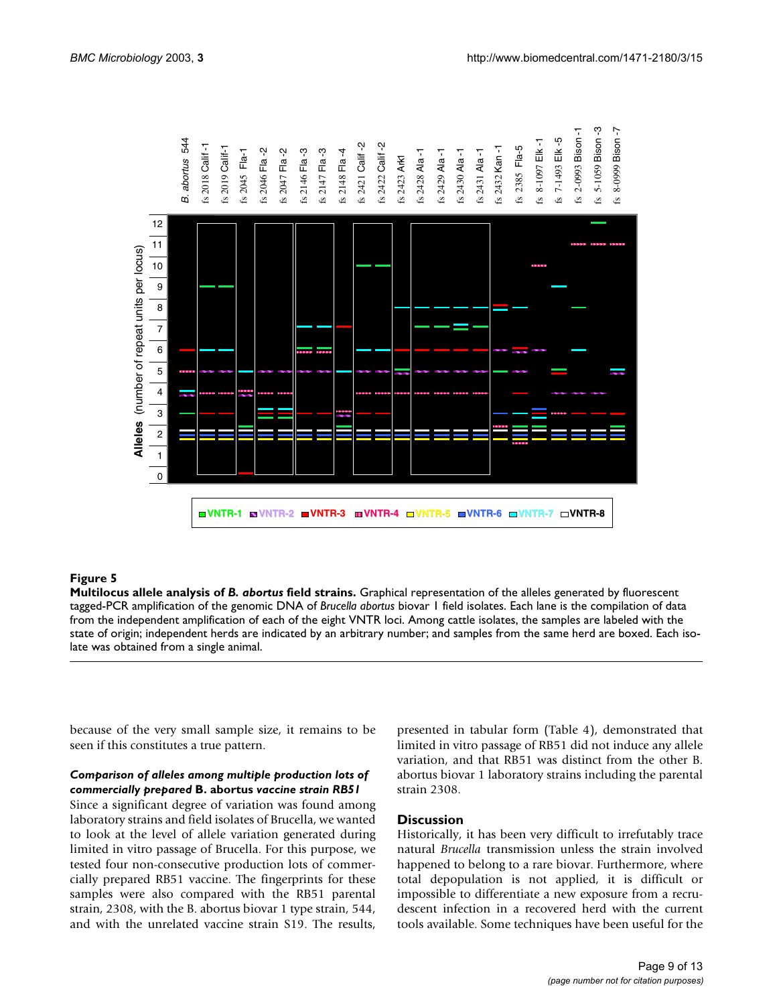

#### **Figure 5**

**Multilocus allele analysis of** *B. abortus* **field strains.** Graphical representation of the alleles generated by fluorescent tagged-PCR amplification of the genomic DNA of *Brucella abortus* biovar 1 field isolates. Each lane is the compilation of data from the independent amplification of each of the eight VNTR loci. Among cattle isolates, the samples are labeled with the state of origin; independent herds are indicated by an arbitrary number; and samples from the same herd are boxed. Each iso-<br>late was obtained from a single animal.

because of the very small sample size, it remains to be seen if this constitutes a true pattern.

#### *Comparison of alleles among multiple production lots of commercially prepared* **B. abortus** *vaccine strain RB51*

Since a significant degree of variation was found among laboratory strains and field isolates of Brucella, we wanted to look at the level of allele variation generated during limited in vitro passage of Brucella. For this purpose, we tested four non-consecutive production lots of commercially prepared RB51 vaccine. The fingerprints for these samples were also compared with the RB51 parental strain, 2308, with the B. abortus biovar 1 type strain, 544, and with the unrelated vaccine strain S19. The results, presented in tabular form (Table [4\)](#page-9-0), demonstrated that limited in vitro passage of RB51 did not induce any allele variation, and that RB51 was distinct from the other B. abortus biovar 1 laboratory strains including the parental strain 2308.

#### **Discussion**

Historically, it has been very difficult to irrefutably trace natural *Brucella* transmission unless the strain involved happened to belong to a rare biovar. Furthermore, where total depopulation is not applied, it is difficult or impossible to differentiate a new exposure from a recrudescent infection in a recovered herd with the current tools available. Some techniques have been useful for the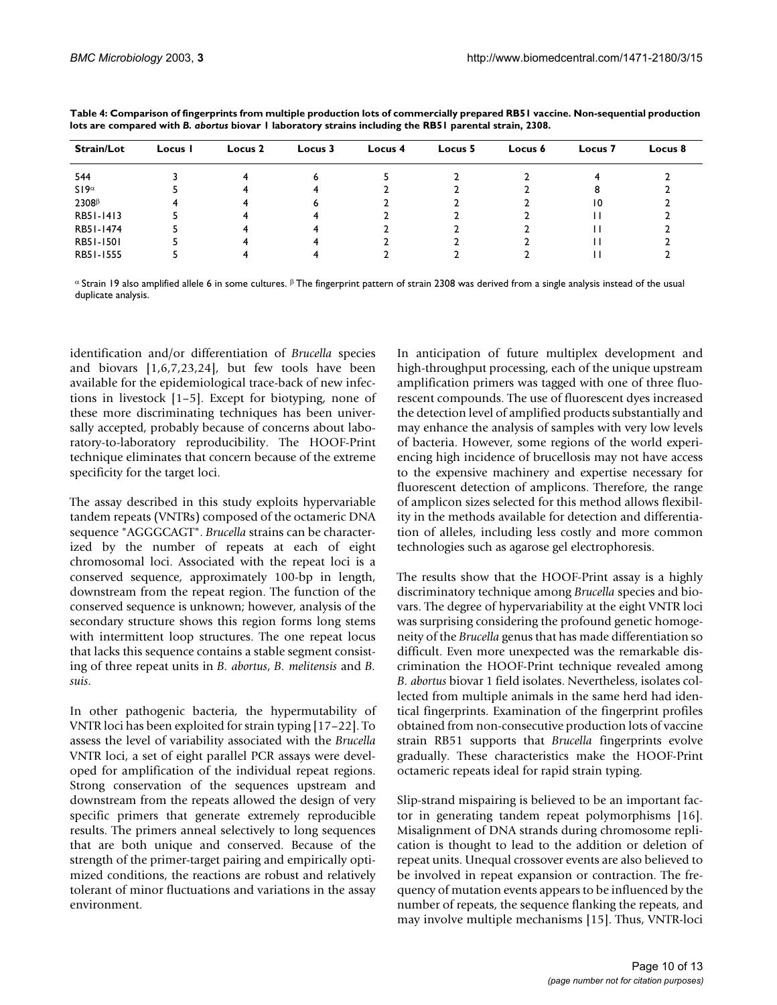| <b>Strain/Lot</b> | Locus I | Locus <sub>2</sub> | Locus 3 | Locus 4 | Locus 5 | Locus 6 | Locus <sub>7</sub> | Locus 8 |
|-------------------|---------|--------------------|---------|---------|---------|---------|--------------------|---------|
| 544               |         |                    | o       |         |         |         |                    |         |
| $S19^{\alpha}$    |         |                    |         |         |         |         |                    |         |
| 2308 <sup>B</sup> |         |                    |         |         |         |         | 10                 |         |
| RB51-1413         |         |                    |         |         |         |         | Ħ                  |         |
| RB51-1474         |         |                    |         |         |         |         | Н                  |         |
| RB51-1501         |         |                    |         |         |         |         | Ħ                  |         |
| RB51-1555         |         |                    |         |         |         |         |                    |         |

<span id="page-9-0"></span>**Table 4: Comparison of fingerprints from multiple production lots of commercially prepared RB51 vaccine. Non-sequential production lots are compared with** *B. abortus* **biovar 1 laboratory strains including the RB51 parental strain, 2308.**

<sup>α</sup> Strain 19 also amplified allele 6 in some cultures. <sup>β</sup> The fingerprint pattern of strain 2308 was derived from a single analysis instead of the usual duplicate analysis.

identification and/or differentiation of *Brucella* species and biovars [1,6,[7](#page-12-4)[,23](#page-12-7),[24\]](#page-12-8), but few tools have been available for the epidemiological trace-back of new infections in livestock [1[–5\]](#page-12-3). Except for biotyping, none of these more discriminating techniques has been universally accepted, probably because of concerns about laboratory-to-laboratory reproducibility. The HOOF-Print technique eliminates that concern because of the extreme specificity for the target loci.

The assay described in this study exploits hypervariable tandem repeats (VNTRs) composed of the octameric DNA sequence "AGGGCAGT". *Brucella* strains can be characterized by the number of repeats at each of eight chromosomal loci. Associated with the repeat loci is a conserved sequence, approximately 100-bp in length, downstream from the repeat region. The function of the conserved sequence is unknown; however, analysis of the secondary structure shows this region forms long stems with intermittent loop structures. The one repeat locus that lacks this sequence contains a stable segment consisting of three repeat units in *B. abortus*, *B. melitensis* and *B. suis*.

In other pathogenic bacteria, the hypermutability of VNTR loci has been exploited for strain typing [17–[22](#page-12-6)]. To assess the level of variability associated with the *Brucella* VNTR loci, a set of eight parallel PCR assays were developed for amplification of the individual repeat regions. Strong conservation of the sequences upstream and downstream from the repeats allowed the design of very specific primers that generate extremely reproducible results. The primers anneal selectively to long sequences that are both unique and conserved. Because of the strength of the primer-target pairing and empirically optimized conditions, the reactions are robust and relatively tolerant of minor fluctuations and variations in the assay environment.

In anticipation of future multiplex development and high-throughput processing, each of the unique upstream amplification primers was tagged with one of three fluorescent compounds. The use of fluorescent dyes increased the detection level of amplified products substantially and may enhance the analysis of samples with very low levels of bacteria. However, some regions of the world experiencing high incidence of brucellosis may not have access to the expensive machinery and expertise necessary for fluorescent detection of amplicons. Therefore, the range of amplicon sizes selected for this method allows flexibility in the methods available for detection and differentiation of alleles, including less costly and more common technologies such as agarose gel electrophoresis.

The results show that the HOOF-Print assay is a highly discriminatory technique among *Brucella* species and biovars. The degree of hypervariability at the eight VNTR loci was surprising considering the profound genetic homogeneity of the *Brucella* genus that has made differentiation so difficult. Even more unexpected was the remarkable discrimination the HOOF-Print technique revealed among *B. abortus* biovar 1 field isolates. Nevertheless, isolates collected from multiple animals in the same herd had identical fingerprints. Examination of the fingerprint profiles obtained from non-consecutive production lots of vaccine strain RB51 supports that *Brucella* fingerprints evolve gradually. These characteristics make the HOOF-Print octameric repeats ideal for rapid strain typing.

Slip-strand mispairing is believed to be an important factor in generating tandem repeat polymorphisms [16]. Misalignment of DNA strands during chromosome replication is thought to lead to the addition or deletion of repeat units. Unequal crossover events are also believed to be involved in repeat expansion or contraction. The frequency of mutation events appears to be influenced by the number of repeats, the sequence flanking the repeats, and may involve multiple mechanisms [15]. Thus, VNTR-loci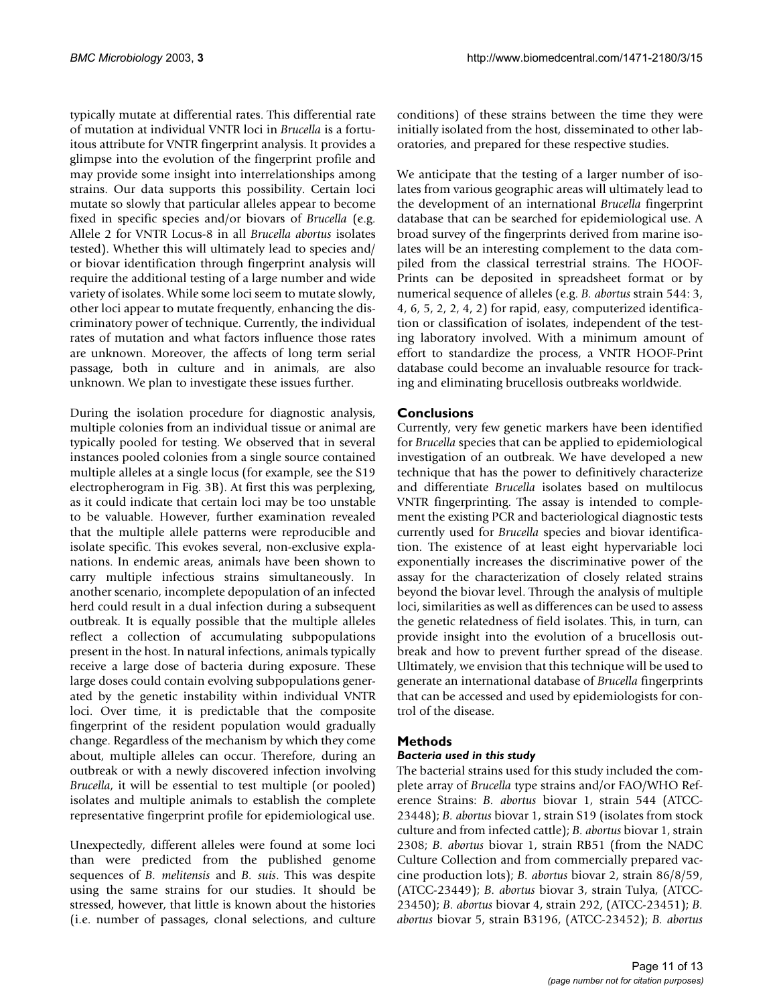typically mutate at differential rates. This differential rate of mutation at individual VNTR loci in *Brucella* is a fortuitous attribute for VNTR fingerprint analysis. It provides a glimpse into the evolution of the fingerprint profile and may provide some insight into interrelationships among strains. Our data supports this possibility. Certain loci mutate so slowly that particular alleles appear to become fixed in specific species and/or biovars of *Brucella* (e.g. Allele 2 for VNTR Locus-8 in all *Brucella abortus* isolates tested). Whether this will ultimately lead to species and/ or biovar identification through fingerprint analysis will require the additional testing of a large number and wide variety of isolates. While some loci seem to mutate slowly, other loci appear to mutate frequently, enhancing the discriminatory power of technique. Currently, the individual rates of mutation and what factors influence those rates are unknown. Moreover, the affects of long term serial passage, both in culture and in animals, are also unknown. We plan to investigate these issues further.

During the isolation procedure for diagnostic analysis, multiple colonies from an individual tissue or animal are typically pooled for testing. We observed that in several instances pooled colonies from a single source contained multiple alleles at a single locus (for example, see the S19 electropherogram in Fig. [3B](#page-5-0)). At first this was perplexing, as it could indicate that certain loci may be too unstable to be valuable. However, further examination revealed that the multiple allele patterns were reproducible and isolate specific. This evokes several, non-exclusive explanations. In endemic areas, animals have been shown to carry multiple infectious strains simultaneously. In another scenario, incomplete depopulation of an infected herd could result in a dual infection during a subsequent outbreak. It is equally possible that the multiple alleles reflect a collection of accumulating subpopulations present in the host. In natural infections, animals typically receive a large dose of bacteria during exposure. These large doses could contain evolving subpopulations generated by the genetic instability within individual VNTR loci. Over time, it is predictable that the composite fingerprint of the resident population would gradually change. Regardless of the mechanism by which they come about, multiple alleles can occur. Therefore, during an outbreak or with a newly discovered infection involving *Brucella*, it will be essential to test multiple (or pooled) isolates and multiple animals to establish the complete representative fingerprint profile for epidemiological use.

Unexpectedly, different alleles were found at some loci than were predicted from the published genome sequences of *B. melitensis* and *B. suis*. This was despite using the same strains for our studies. It should be stressed, however, that little is known about the histories (i.e. number of passages, clonal selections, and culture conditions) of these strains between the time they were initially isolated from the host, disseminated to other laboratories, and prepared for these respective studies.

We anticipate that the testing of a larger number of isolates from various geographic areas will ultimately lead to the development of an international *Brucella* fingerprint database that can be searched for epidemiological use. A broad survey of the fingerprints derived from marine isolates will be an interesting complement to the data compiled from the classical terrestrial strains. The HOOF-Prints can be deposited in spreadsheet format or by numerical sequence of alleles (e.g. *B. abortus* strain 544: 3, 4, 6, 5, 2, 2, 4, 2) for rapid, easy, computerized identification or classification of isolates, independent of the testing laboratory involved. With a minimum amount of effort to standardize the process, a VNTR HOOF-Print database could become an invaluable resource for tracking and eliminating brucellosis outbreaks worldwide.

## **Conclusions**

Currently, very few genetic markers have been identified for *Brucella* species that can be applied to epidemiological investigation of an outbreak. We have developed a new technique that has the power to definitively characterize and differentiate *Brucella* isolates based on multilocus VNTR fingerprinting. The assay is intended to complement the existing PCR and bacteriological diagnostic tests currently used for *Brucella* species and biovar identification. The existence of at least eight hypervariable loci exponentially increases the discriminative power of the assay for the characterization of closely related strains beyond the biovar level. Through the analysis of multiple loci, similarities as well as differences can be used to assess the genetic relatedness of field isolates. This, in turn, can provide insight into the evolution of a brucellosis outbreak and how to prevent further spread of the disease. Ultimately, we envision that this technique will be used to generate an international database of *Brucella* fingerprints that can be accessed and used by epidemiologists for control of the disease.

# **Methods**

# *Bacteria used in this study*

The bacterial strains used for this study included the complete array of *Brucella* type strains and/or FAO/WHO Reference Strains: *B. abortus* biovar 1, strain 544 (ATCC-23448); *B. abortus* biovar 1, strain S19 (isolates from stock culture and from infected cattle); *B. abortus* biovar 1, strain 2308; *B. abortus* biovar 1, strain RB51 (from the NADC Culture Collection and from commercially prepared vaccine production lots); *B. abortus* biovar 2, strain 86/8/59, (ATCC-23449); *B. abortus* biovar 3, strain Tulya, (ATCC-23450); *B. abortus* biovar 4, strain 292, (ATCC-23451); *B. abortus* biovar 5, strain B3196, (ATCC-23452); *B. abortus*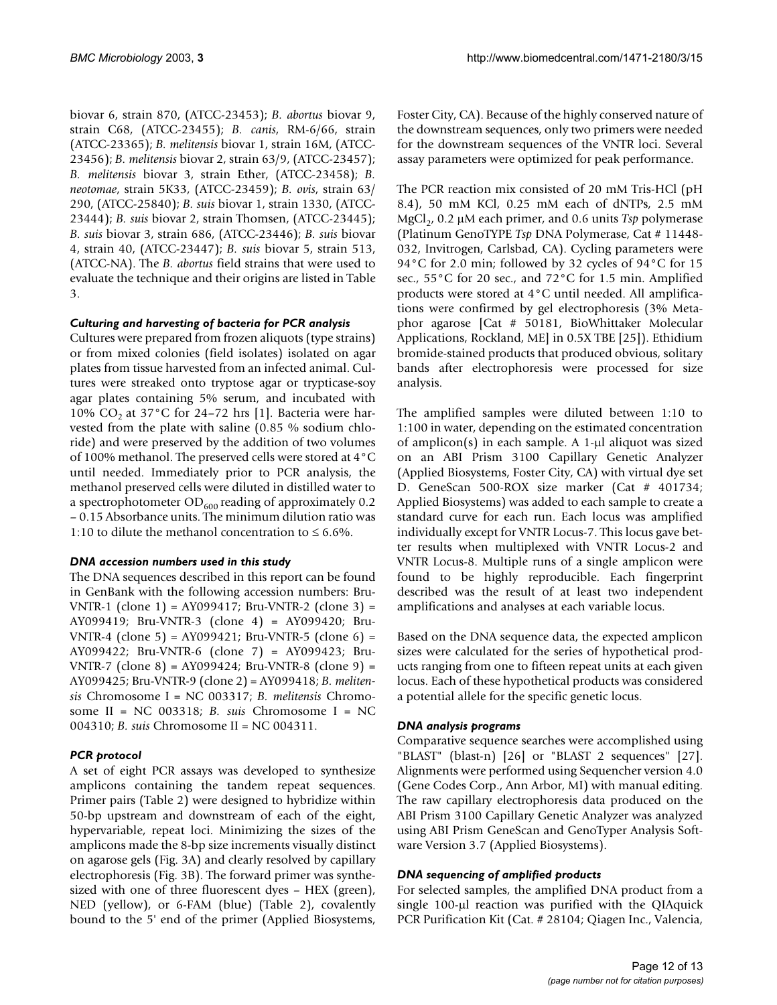biovar 6, strain 870, (ATCC-23453); *B. abortus* biovar 9, strain C68, (ATCC-23455); *B. canis*, RM-6/66, strain (ATCC-23365); *B. melitensis* biovar 1, strain 16M, (ATCC-23456); *B. melitensis* biovar 2, strain 63/9, (ATCC-23457); *B. melitensis* biovar 3, strain Ether, (ATCC-23458); *B. neotomae*, strain 5K33, (ATCC-23459); *B. ovis*, strain 63/ 290, (ATCC-25840); *B. suis* biovar 1, strain 1330, (ATCC-23444); *B. suis* biovar 2, strain Thomsen, (ATCC-23445); *B. suis* biovar 3, strain 686, (ATCC-23446); *B. suis* biovar 4, strain 40, (ATCC-23447); *B. suis* biovar 5, strain 513, (ATCC-NA). The *B. abortus* field strains that were used to evaluate the technique and their origins are listed in Table [3.](#page-6-1)

#### *Culturing and harvesting of bacteria for PCR analysis*

Cultures were prepared from frozen aliquots (type strains) or from mixed colonies (field isolates) isolated on agar plates from tissue harvested from an infected animal. Cultures were streaked onto tryptose agar or trypticase-soy agar plates containing 5% serum, and incubated with 10% CO<sub>2</sub> at 37°C for 24-72 hrs [1]. Bacteria were harvested from the plate with saline (0.85 % sodium chloride) and were preserved by the addition of two volumes of 100% methanol. The preserved cells were stored at 4°C until needed. Immediately prior to PCR analysis, the methanol preserved cells were diluted in distilled water to a spectrophotometer  $OD_{600}$  reading of approximately 0.2 – 0.15 Absorbance units. The minimum dilution ratio was 1:10 to dilute the methanol concentration to  $\leq 6.6\%$ .

## *DNA accession numbers used in this study*

The DNA sequences described in this report can be found in GenBank with the following accession numbers: Bru-VNTR-1 (clone 1) = AY099417; Bru-VNTR-2 (clone 3) = AY099419; Bru-VNTR-3 (clone 4) = AY099420; Bru-VNTR-4 (clone 5) = AY099421; Bru-VNTR-5 (clone 6) = AY099422; Bru-VNTR-6 (clone 7) = AY099423; Bru-VNTR-7 (clone 8) = AY099424; Bru-VNTR-8 (clone 9) = AY099425; Bru-VNTR-9 (clone 2) = AY099418; *B. melitensis* Chromosome I = NC 003317; *B. melitensis* Chromosome II = NC 003318; *B. suis* Chromosome I = NC 004310; *B. suis* Chromosome II = NC 004311.

## *PCR protocol*

A set of eight PCR assays was developed to synthesize amplicons containing the tandem repeat sequences. Primer pairs (Table [2\)](#page-6-0) were designed to hybridize within 50-bp upstream and downstream of each of the eight, hypervariable, repeat loci. Minimizing the sizes of the amplicons made the 8-bp size increments visually distinct on agarose gels (Fig. [3](#page-5-0)A) and clearly resolved by capillary electrophoresis (Fig. [3B](#page-5-0)). The forward primer was synthesized with one of three fluorescent dyes – HEX (green), NED (yellow), or 6-FAM (blue) (Table [2](#page-6-0)), covalently bound to the 5' end of the primer (Applied Biosystems,

Foster City, CA). Because of the highly conserved nature of the downstream sequences, only two primers were needed for the downstream sequences of the VNTR loci. Several assay parameters were optimized for peak performance.

The PCR reaction mix consisted of 20 mM Tris-HCl (pH 8.4), 50 mM KCl, 0.25 mM each of dNTPs, 2.5 mM MgCl<sub>2</sub>, 0.2 μM each primer, and 0.6 units *Tsp* polymerase (Platinum GenoTYPE *Tsp* DNA Polymerase, Cat # 11448- 032, Invitrogen, Carlsbad, CA). Cycling parameters were 94°C for 2.0 min; followed by 32 cycles of 94°C for 15 sec., 55°C for 20 sec., and 72°C for 1.5 min. Amplified products were stored at 4°C until needed. All amplifications were confirmed by gel electrophoresis (3% Metaphor agarose [Cat # 50181, BioWhittaker Molecular Applications, Rockland, ME] in 0.5X TBE [25]). Ethidium bromide-stained products that produced obvious, solitary bands after electrophoresis were processed for size analysis.

The amplified samples were diluted between 1:10 to 1:100 in water, depending on the estimated concentration of amplicon(s) in each sample. A 1-µl aliquot was sized on an ABI Prism 3100 Capillary Genetic Analyzer (Applied Biosystems, Foster City, CA) with virtual dye set D. GeneScan 500-ROX size marker (Cat # 401734; Applied Biosystems) was added to each sample to create a standard curve for each run. Each locus was amplified individually except for VNTR Locus-7. This locus gave better results when multiplexed with VNTR Locus-2 and VNTR Locus-8. Multiple runs of a single amplicon were found to be highly reproducible. Each fingerprint described was the result of at least two independent amplifications and analyses at each variable locus.

Based on the DNA sequence data, the expected amplicon sizes were calculated for the series of hypothetical products ranging from one to fifteen repeat units at each given locus. Each of these hypothetical products was considered a potential allele for the specific genetic locus.

## *DNA analysis programs*

Comparative sequence searches were accomplished using "BLAST" (blast-n) [26] or "BLAST 2 sequences" [27]. Alignments were performed using Sequencher version 4.0 (Gene Codes Corp., Ann Arbor, MI) with manual editing. The raw capillary electrophoresis data produced on the ABI Prism 3100 Capillary Genetic Analyzer was analyzed using ABI Prism GeneScan and GenoTyper Analysis Software Version 3.7 (Applied Biosystems).

## *DNA sequencing of amplified products*

For selected samples, the amplified DNA product from a single 100-µl reaction was purified with the QIAquick PCR Purification Kit (Cat. # 28104; Qiagen Inc., Valencia,